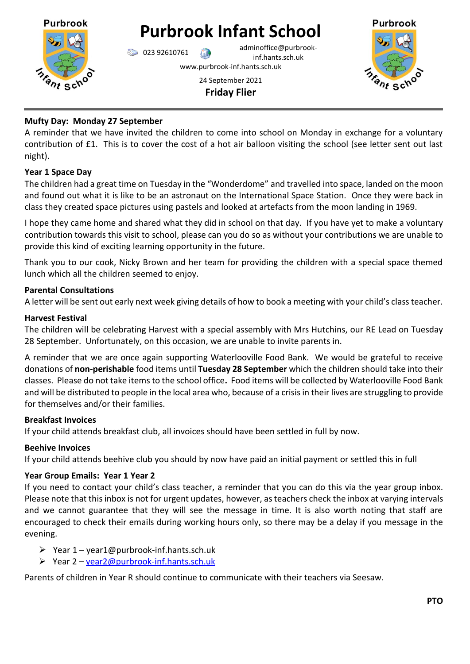

# **Purbrook Infant School**

023 92610761 adminoffice@purbrookinf.hants.sch.uk

www.purbrook-inf.hants.sch.uk



24 September 2021 **Friday Flier**

# **Mufty Day: Monday 27 September**

A reminder that we have invited the children to come into school on Monday in exchange for a voluntary contribution of £1. This is to cover the cost of a hot air balloon visiting the school (see letter sent out last night).

## **Year 1 Space Day**

The children had a great time on Tuesday in the "Wonderdome" and travelled into space, landed on the moon and found out what it is like to be an astronaut on the International Space Station. Once they were back in class they created space pictures using pastels and looked at artefacts from the moon landing in 1969.

I hope they came home and shared what they did in school on that day. If you have yet to make a voluntary contribution towards this visit to school, please can you do so as without your contributions we are unable to provide this kind of exciting learning opportunity in the future.

Thank you to our cook, Nicky Brown and her team for providing the children with a special space themed lunch which all the children seemed to enjoy.

## **Parental Consultations**

A letter will be sent out early next week giving details of how to book a meeting with your child's class teacher.

## **Harvest Festival**

The children will be celebrating Harvest with a special assembly with Mrs Hutchins, our RE Lead on Tuesday 28 September. Unfortunately, on this occasion, we are unable to invite parents in.

A reminder that we are once again supporting Waterlooville Food Bank. We would be grateful to receive donations of **non-perishable** food items until **Tuesday 28 September** which the children should take into their classes. Please do not take items to the school office**.** Food items will be collected by Waterlooville Food Bank and will be distributed to people in the local area who, because of a crisis in their lives are struggling to provide for themselves and/or their families.

## **Breakfast Invoices**

If your child attends breakfast club, all invoices should have been settled in full by now.

# **Beehive Invoices**

If your child attends beehive club you should by now have paid an initial payment or settled this in full

# **Year Group Emails: Year 1 Year 2**

If you need to contact your child's class teacher, a reminder that you can do this via the year group inbox. Please note that this inbox is not for urgent updates, however, as teachers check the inbox at varying intervals and we cannot guarantee that they will see the message in time. It is also worth noting that staff are encouraged to check their emails during working hours only, so there may be a delay if you message in the evening.

- $\triangleright$  Year 1 year1@purbrook-inf.hants.sch.uk
- $\triangleright$  Year 2 year 2@ purbrook-inf.hants.sch.uk

Parents of children in Year R should continue to communicate with their teachers via Seesaw.